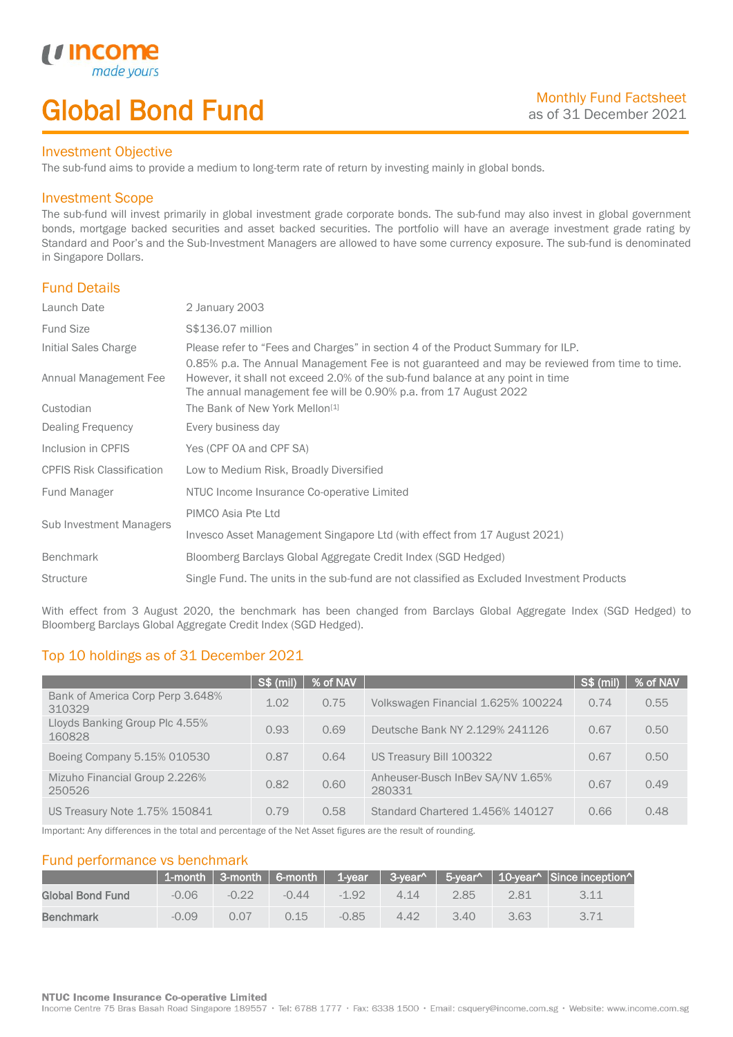# Global Bond Fund

### Investment Objective

made y

*u* incom

I

The sub-fund aims to provide a medium to long-term rate of return by investing mainly in global bonds.

### Investment Scope

The sub-fund will invest primarily in global investment grade corporate bonds. The sub-fund may also invest in global government bonds, mortgage backed securities and asset backed securities. The portfolio will have an average investment grade rating by Standard and Poor's and the Sub-Investment Managers are allowed to have some currency exposure. The sub-fund is denominated in Singapore Dollars.

## Fund Details

| 0.85% p.a. The Annual Management Fee is not guaranteed and may be reviewed from time to time. |
|-----------------------------------------------------------------------------------------------|
|                                                                                               |
|                                                                                               |
|                                                                                               |
|                                                                                               |
|                                                                                               |
|                                                                                               |
|                                                                                               |
|                                                                                               |
|                                                                                               |
|                                                                                               |

With effect from 3 August 2020, the benchmark has been changed from Barclays Global Aggregate Index (SGD Hedged) to Bloomberg Barclays Global Aggregate Credit Index (SGD Hedged).

## Top 10 holdings as of 31 December 2021

|                                            | <b>S\$ (mil)</b> | % of NAV |                                            | S\$ (mil) | % of NAV |
|--------------------------------------------|------------------|----------|--------------------------------------------|-----------|----------|
| Bank of America Corp Perp 3.648%<br>310329 | 1.02             | 0.75     | Volkswagen Financial 1.625% 100224         | 0.74      | 0.55     |
| Lloyds Banking Group Plc 4.55%<br>160828   | 0.93             | 0.69     | Deutsche Bank NY 2.129% 241126             | 0.67      | 0.50     |
| Boeing Company 5.15% 010530                | 0.87             | 0.64     | US Treasury Bill 100322                    | 0.67      | 0.50     |
| Mizuho Financial Group 2.226%<br>250526    | 0.82             | 0.60     | Anheuser-Busch InBev SA/NV 1.65%<br>280331 | 0.67      | 0.49     |
| US Treasury Note 1.75% 150841              | 0.79             | 0.58     | Standard Chartered 1.456% 140127           | 0.66      | 0.48     |

Important: Any differences in the total and percentage of the Net Asset figures are the result of rounding.

## Fund performance vs benchmark

|                         |         |         |         |         |      |      |      | 1-month   3-month   6-month   1-year   3-year^   5-year^   10-year^   Since inception^ |
|-------------------------|---------|---------|---------|---------|------|------|------|----------------------------------------------------------------------------------------|
| <b>Global Bond Fund</b> | $-0.06$ | $-0.22$ | $-0.44$ | $-192$  | 4.14 | 2.85 | 2.81 |                                                                                        |
| <b>Benchmark</b>        | $-0.09$ | 0.07    | 0.15    | $-0.85$ | 4.42 | 3.40 | 3.63 |                                                                                        |